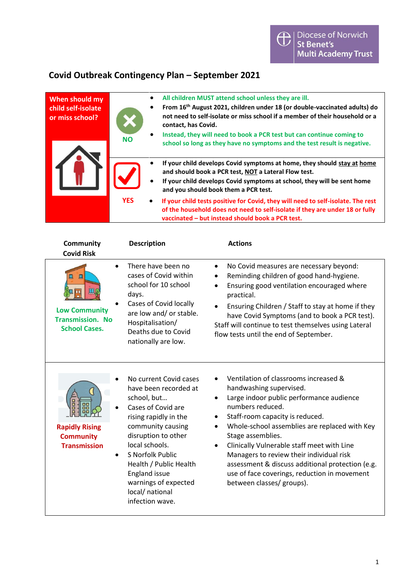## **Covid Outbreak Contingency Plan – September 2021**

| When should my<br>child self-isolate<br>or miss school? | <b>NO</b>  | All children MUST attend school unless they are ill.<br>$\bullet$<br>From 16 <sup>th</sup> August 2021, children under 18 (or double-vaccinated adults) do<br>$\bullet$<br>not need to self-isolate or miss school if a member of their household or a<br>contact, has Covid.<br>Instead, they will need to book a PCR test but can continue coming to<br>$\bullet$<br>school so long as they have no symptoms and the test result is negative. |
|---------------------------------------------------------|------------|-------------------------------------------------------------------------------------------------------------------------------------------------------------------------------------------------------------------------------------------------------------------------------------------------------------------------------------------------------------------------------------------------------------------------------------------------|
|                                                         |            | If your child develops Covid symptoms at home, they should stay at home<br>$\bullet$<br>and should book a PCR test, NOT a Lateral Flow test.<br>If your child develops Covid symptoms at school, they will be sent home<br>$\bullet$<br>and you should book them a PCR test.                                                                                                                                                                    |
|                                                         | <b>YES</b> | If your child tests positive for Covid, they will need to self-isolate. The rest<br>$\bullet$<br>of the household does not need to self-isolate if they are under 18 or fully<br>vaccinated - but instead should book a PCR test.                                                                                                                                                                                                               |

| <b>Community</b><br><b>Covid Risk</b>                                             | <b>Description</b>                                                                                                                                                                                                                                                                                              | <b>Actions</b>                                                                                                                                                                                                                                                                                                                                                                                                                                                                                                           |
|-----------------------------------------------------------------------------------|-----------------------------------------------------------------------------------------------------------------------------------------------------------------------------------------------------------------------------------------------------------------------------------------------------------------|--------------------------------------------------------------------------------------------------------------------------------------------------------------------------------------------------------------------------------------------------------------------------------------------------------------------------------------------------------------------------------------------------------------------------------------------------------------------------------------------------------------------------|
| 皿<br>◫<br><b>Low Community</b><br><b>Transmission. No</b><br><b>School Cases.</b> | There have been no<br>cases of Covid within<br>school for 10 school<br>days.<br>Cases of Covid locally<br>are low and/ or stable.<br>Hospitalisation/<br>Deaths due to Covid<br>nationally are low.                                                                                                             | No Covid measures are necessary beyond:<br>$\bullet$<br>Reminding children of good hand-hygiene.<br>$\bullet$<br>Ensuring good ventilation encouraged where<br>$\bullet$<br>practical.<br>Ensuring Children / Staff to stay at home if they<br>have Covid Symptoms (and to book a PCR test).<br>Staff will continue to test themselves using Lateral<br>flow tests until the end of September.                                                                                                                           |
| <b>Rapidly Rising</b><br><b>Community</b><br><b>Transmission</b><br>$\bullet$     | No current Covid cases<br>have been recorded at<br>school, but<br>Cases of Covid are<br>rising rapidly in the<br>community causing<br>disruption to other<br>local schools.<br>S Norfolk Public<br>Health / Public Health<br><b>England issue</b><br>warnings of expected<br>local/ national<br>infection wave. | Ventilation of classrooms increased &<br>handwashing supervised.<br>Large indoor public performance audience<br>$\bullet$<br>numbers reduced.<br>Staff-room capacity is reduced.<br>$\bullet$<br>Whole-school assemblies are replaced with Key<br>$\bullet$<br>Stage assemblies.<br>Clinically Vulnerable staff meet with Line<br>$\bullet$<br>Managers to review their individual risk<br>assessment & discuss additional protection (e.g.<br>use of face coverings, reduction in movement<br>between classes/ groups). |